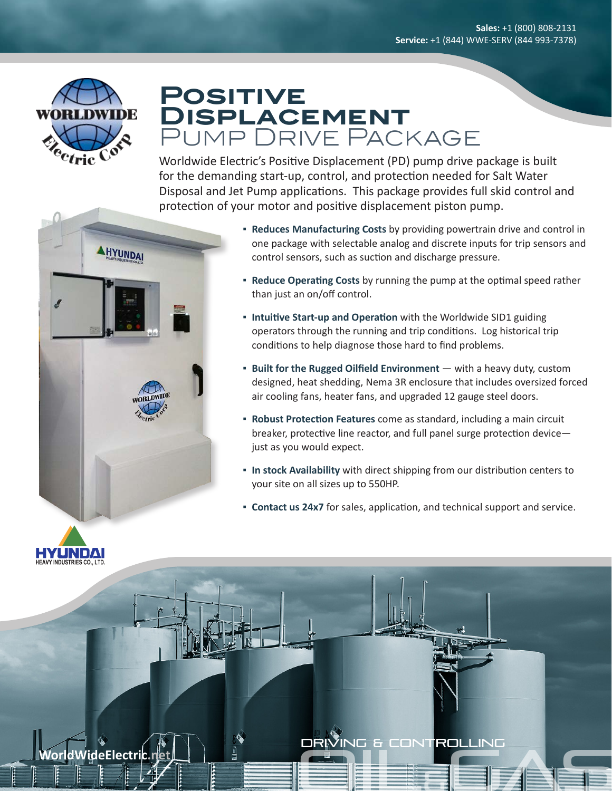

# **Positive Displacement** Pump Drive Package

Worldwide Electric's Positive Displacement (PD) pump drive package is built for the demanding start-up, control, and protection needed for Salt Water Disposal and Jet Pump applications. This package provides full skid control and protection of your motor and positive displacement piston pump.





- **Reduce Operating Costs** by running the pump at the optimal speed rather than just an on/off control.
- **Intuitive Start-up and Operation** with the Worldwide SID1 guiding operators through the running and trip conditions. Log historical trip conditions to help diagnose those hard to find problems.
- **Built for the Rugged Oilfield Environment** with a heavy duty, custom designed, heat shedding, Nema 3R enclosure that includes oversized forced air cooling fans, heater fans, and upgraded 12 gauge steel doors.
- **Robust Protection Features** come as standard, including a main circuit breaker, protective line reactor, and full panel surge protection device just as you would expect.
- **In stock Availability** with direct shipping from our distribution centers to your site on all sizes up to 550HP.
- **Contact us 24x7** for sales, application, and technical support and service.



Oil&Gas **WorldWideElectric.net** DRIVING & Controlling